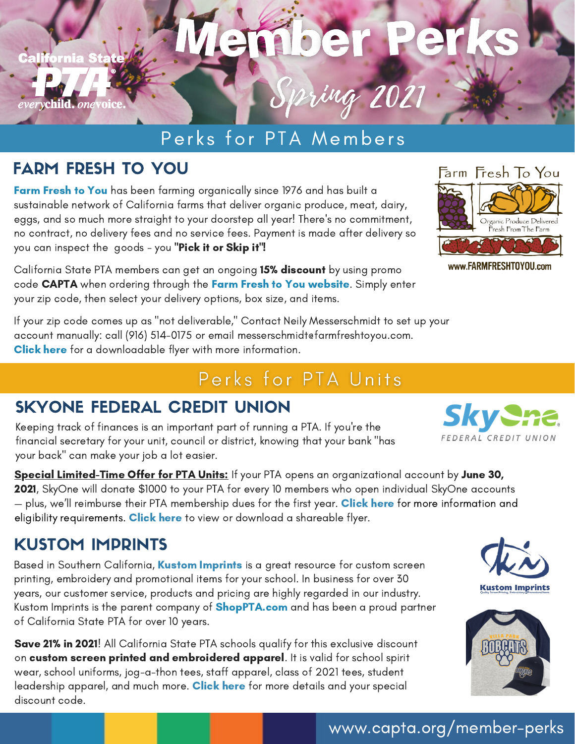

## Perks for PTA Members

#### FARM FRESH TO YOU

**Farm [Fresh](https://www.farmfreshtoyou.com/) to You** has been farming organically since 1976 and has built a sustainable network of California farms that deliver organic produce, meat, dairy, eggs, and so much more straight to your doorstep all year! There's no commitment, no contract, no delivery fees and no service fees. Payment is made after delivery so you can inspect the goods - you "Pick it or Skip it"!

California State PTA members can get an ongoing 15% discount by using promo code CAPTA when ordering through the Farm Fresh to You [website.](https://www.farmfreshtoyou.com/) Simply enter your zip code, then select your delivery options, box size, and items.

If your zip code comes up as "not deliverable," Contact Neily Messerschmidt to set up your account manually: call (916) 514-0175 or email messerschmidtefarmfreshtoyou.com. [Click](http://downloads.capta.org/con/2021/Farm+Fresh+to+You-EFlyer+2021.pdf) here for a downloadable flyer with more information.

## Perks for PTA Units

#### SKYONE FEDERAL CREDIT UNION

Keeping track of finances is an important part of running a PTA. If you're the financial secretary for your unit, council or district, knowing that your bank "has your back" can make your job a lot easier.

Special Limited-Time Offer for PTA Units: If your PTA opens an organizational account by June 30, 2021, SkyOne will donate \$1000 to your PTA for every 10 members who open individual SkyOne accounts — plus, we'll reimburse their PTA membership dues for the first year. **[Click](https://www.skyone.org/ca-pta-leaders/) here** for more information and eligibility requirement[s.](https://www.skyone.org/ca-pta-leaders/) [Click](http://downloads.capta.org/rd/SkyOne_Flyer_Spring_2021.pdf) here to view or download a shareable flyer.

#### KUSTOM IMPRINTS

Based in Southern California, Kustom [Imprints](https://www.kustomimprints.com/) is a great resource for custom screen printing, embroidery and promotional items for your school. In business for over 30 years, our customer service, products and pricing are highly regarded in our industry. Kustom Imprints is the parent company of **[ShopPTA.com](http://www.shoppta.com/)** and has been a proud partner of California State PTA for over 10 years.

Save 21% in 2021! All California State PTA schools qualify for this exclusive discount on custom screen printed and embroidered apparel. It is valid for school spirit wear, school uniforms, jog-a-thon tees, staff apparel, class of 2021 tees, student leadership apparel, and much more. [Click](https://www.kustomimprints.com/capta-membership-perks/) here for more details and your special discount code.



www.FARMFRESHT0Y0U.com







#### [www.capta.org/member-perks](https://www.capta.org/member-perks)